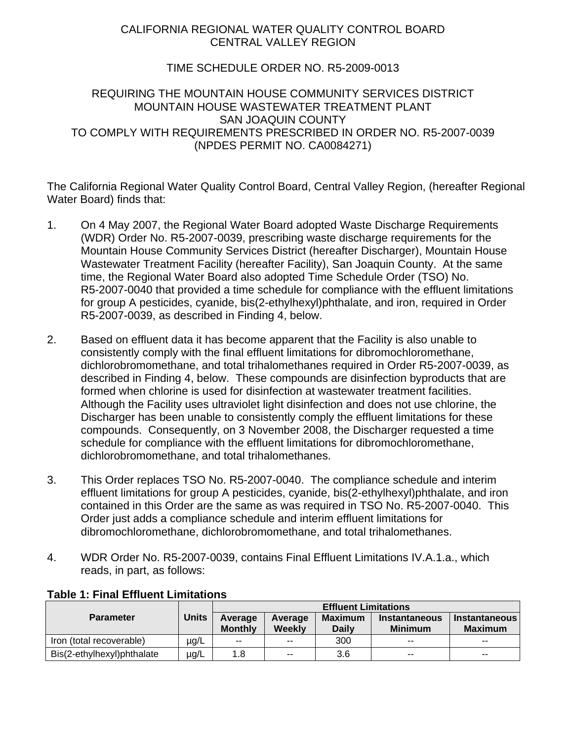# CALIFORNIA REGIONAL WATER QUALITY CONTROL BOARD CENTRAL VALLEY REGION

## TIME SCHEDULE ORDER NO. R5-2009-0013

## REQUIRING THE MOUNTAIN HOUSE COMMUNITY SERVICES DISTRICT MOUNTAIN HOUSE WASTEWATER TREATMENT PLANT SAN JOAQUIN COUNTY TO COMPLY WITH REQUIREMENTS PRESCRIBED IN ORDER NO. R5-2007-0039 (NPDES PERMIT NO. CA0084271)

The California Regional Water Quality Control Board, Central Valley Region, (hereafter Regional Water Board) finds that:

- 1. On 4 May 2007, the Regional Water Board adopted Waste Discharge Requirements (WDR) Order No. R5-2007-0039, prescribing waste discharge requirements for the Mountain House Community Services District (hereafter Discharger), Mountain House Wastewater Treatment Facility (hereafter Facility), San Joaquin County. At the same time, the Regional Water Board also adopted Time Schedule Order (TSO) No. R5-2007-0040 that provided a time schedule for compliance with the effluent limitations for group A pesticides, cyanide, bis(2-ethylhexyl)phthalate, and iron, required in Order R5-2007-0039, as described in Finding 4, below.
- 2. Based on effluent data it has become apparent that the Facility is also unable to consistently comply with the final effluent limitations for dibromochloromethane, dichlorobromomethane, and total trihalomethanes required in Order R5-2007-0039, as described in Finding 4, below. These compounds are disinfection byproducts that are formed when chlorine is used for disinfection at wastewater treatment facilities. Although the Facility uses ultraviolet light disinfection and does not use chlorine, the Discharger has been unable to consistently comply the effluent limitations for these compounds. Consequently, on 3 November 2008, the Discharger requested a time schedule for compliance with the effluent limitations for dibromochloromethane, dichlorobromomethane, and total trihalomethanes.
- 3. This Order replaces TSO No. R5-2007-0040. The compliance schedule and interim effluent limitations for group A pesticides, cyanide, bis(2-ethylhexyl)phthalate, and iron contained in this Order are the same as was required in TSO No. R5-2007-0040. This Order just adds a compliance schedule and interim effluent limitations for dibromochloromethane, dichlorobromomethane, and total trihalomethanes.
- 4. WDR Order No. R5-2007-0039, contains Final Effluent Limitations IV.A.1.a., which reads, in part, as follows:

|                            |              | <b>Effluent Limitations</b> |                          |                                |                                        |                                        |
|----------------------------|--------------|-----------------------------|--------------------------|--------------------------------|----------------------------------------|----------------------------------------|
| <b>Parameter</b>           | <b>Units</b> | Average<br><b>Monthly</b>   | Average<br>Weekly        | <b>Maximum</b><br><b>Daily</b> | <b>Instantaneous</b><br><b>Minimum</b> | <b>Instantaneous</b><br><b>Maximum</b> |
| Iron (total recoverable)   | µg/L         | $-$                         | $\overline{\phantom{a}}$ | 300                            | $\overline{\phantom{a}}$               | $- -$                                  |
| Bis(2-ethylhexyl)phthalate | µg/L         | 1.8                         | $-$                      | 3.6                            | $-$                                    | $-$                                    |

### **Table 1: Final Effluent Limitations**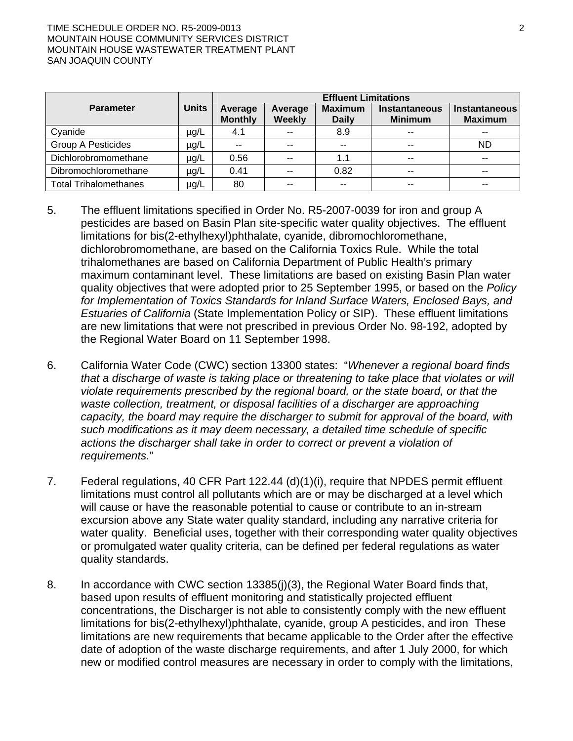#### TIME SCHEDULE ORDER NO. R5-2009-0013 2 MOUNTAIN HOUSE COMMUNITY SERVICES DISTRICT MOUNTAIN HOUSE WASTEWATER TREATMENT PLANT SAN JOAQUIN COUNTY

|                              |              | <b>Effluent Limitations</b> |                          |                                |                                        |                                 |
|------------------------------|--------------|-----------------------------|--------------------------|--------------------------------|----------------------------------------|---------------------------------|
| <b>Parameter</b>             | <b>Units</b> | Average<br><b>Monthly</b>   | Average<br><b>Weekly</b> | <b>Maximum</b><br><b>Daily</b> | <b>Instantaneous</b><br><b>Minimum</b> | Instantaneous<br><b>Maximum</b> |
| Cyanide                      | µg/L         | 4.1                         | $- -$                    | 8.9                            | $-$                                    |                                 |
| <b>Group A Pesticides</b>    | µg/L         | $- -$                       | $- -$                    | $-$                            | $- -$                                  | <b>ND</b>                       |
| Dichlorobromomethane         | µg/L         | 0.56                        | $\sim$ $\sim$            | 1.1                            | $-$                                    | $- -$                           |
| Dibromochloromethane         | µg/L         | 0.41                        | $\sim$ $\sim$            | 0.82                           | $-$                                    | $- -$                           |
| <b>Total Trihalomethanes</b> | µg/L         | 80                          | $\sim$ $\sim$            | $- -$                          | $-$                                    | --                              |

- 5. The effluent limitations specified in Order No. R5-2007-0039 for iron and group A pesticides are based on Basin Plan site-specific water quality objectives. The effluent limitations for bis(2-ethylhexyl)phthalate, cyanide, dibromochloromethane, dichlorobromomethane, are based on the California Toxics Rule. While the total trihalomethanes are based on California Department of Public Health's primary maximum contaminant level. These limitations are based on existing Basin Plan water quality objectives that were adopted prior to 25 September 1995, or based on the *Policy for Implementation of Toxics Standards for Inland Surface Waters, Enclosed Bays, and Estuaries of California* (State Implementation Policy or SIP). These effluent limitations are new limitations that were not prescribed in previous Order No. 98-192, adopted by the Regional Water Board on 11 September 1998.
- 6. California Water Code (CWC) section 13300 states: "*Whenever a regional board finds that a discharge of waste is taking place or threatening to take place that violates or will violate requirements prescribed by the regional board, or the state board, or that the waste collection, treatment, or disposal facilities of a discharger are approaching capacity, the board may require the discharger to submit for approval of the board, with such modifications as it may deem necessary, a detailed time schedule of specific actions the discharger shall take in order to correct or prevent a violation of requirements.*"
- 7. Federal regulations, 40 CFR Part 122.44 (d)(1)(i), require that NPDES permit effluent limitations must control all pollutants which are or may be discharged at a level which will cause or have the reasonable potential to cause or contribute to an in-stream excursion above any State water quality standard, including any narrative criteria for water quality. Beneficial uses, together with their corresponding water quality objectives or promulgated water quality criteria, can be defined per federal regulations as water quality standards.
- 8. In accordance with CWC section 13385(j)(3), the Regional Water Board finds that, based upon results of effluent monitoring and statistically projected effluent concentrations, the Discharger is not able to consistently comply with the new effluent limitations for bis(2-ethylhexyl)phthalate, cyanide, group A pesticides, and iron These limitations are new requirements that became applicable to the Order after the effective date of adoption of the waste discharge requirements, and after 1 July 2000, for which new or modified control measures are necessary in order to comply with the limitations,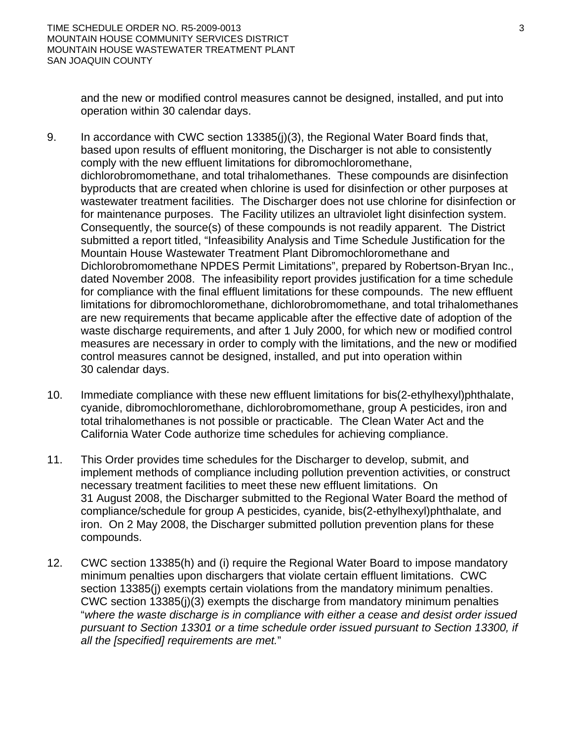and the new or modified control measures cannot be designed, installed, and put into operation within 30 calendar days.

- 9. In accordance with CWC section 13385(j)(3), the Regional Water Board finds that, based upon results of effluent monitoring, the Discharger is not able to consistently comply with the new effluent limitations for dibromochloromethane, dichlorobromomethane, and total trihalomethanes. These compounds are disinfection byproducts that are created when chlorine is used for disinfection or other purposes at wastewater treatment facilities. The Discharger does not use chlorine for disinfection or for maintenance purposes. The Facility utilizes an ultraviolet light disinfection system. Consequently, the source(s) of these compounds is not readily apparent. The District submitted a report titled, "Infeasibility Analysis and Time Schedule Justification for the Mountain House Wastewater Treatment Plant Dibromochloromethane and Dichlorobromomethane NPDES Permit Limitations", prepared by Robertson-Bryan Inc., dated November 2008. The infeasibility report provides justification for a time schedule for compliance with the final effluent limitations for these compounds. The new effluent limitations for dibromochloromethane, dichlorobromomethane, and total trihalomethanes are new requirements that became applicable after the effective date of adoption of the waste discharge requirements, and after 1 July 2000, for which new or modified control measures are necessary in order to comply with the limitations, and the new or modified control measures cannot be designed, installed, and put into operation within 30 calendar days.
- 10. Immediate compliance with these new effluent limitations for bis(2-ethylhexyl)phthalate, cyanide, dibromochloromethane, dichlorobromomethane, group A pesticides, iron and total trihalomethanes is not possible or practicable. The Clean Water Act and the California Water Code authorize time schedules for achieving compliance.
- 11. This Order provides time schedules for the Discharger to develop, submit, and implement methods of compliance including pollution prevention activities, or construct necessary treatment facilities to meet these new effluent limitations. On 31 August 2008, the Discharger submitted to the Regional Water Board the method of compliance/schedule for group A pesticides, cyanide, bis(2-ethylhexyl)phthalate, and iron. On 2 May 2008, the Discharger submitted pollution prevention plans for these compounds.
- 12. CWC section 13385(h) and (i) require the Regional Water Board to impose mandatory minimum penalties upon dischargers that violate certain effluent limitations. CWC section 13385(j) exempts certain violations from the mandatory minimum penalties. CWC section 13385(j)(3) exempts the discharge from mandatory minimum penalties "*where the waste discharge is in compliance with either a cease and desist order issued pursuant to Section 13301 or a time schedule order issued pursuant to Section 13300, if all the [specified] requirements are met.*"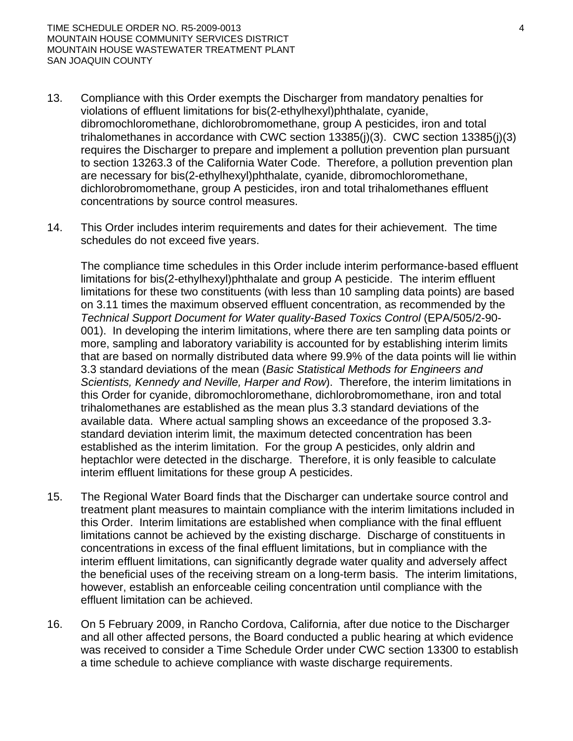- 13. Compliance with this Order exempts the Discharger from mandatory penalties for violations of effluent limitations for bis(2-ethylhexyl)phthalate, cyanide, dibromochloromethane, dichlorobromomethane, group A pesticides, iron and total trihalomethanes in accordance with CWC section 13385(j)(3). CWC section 13385(j)(3) requires the Discharger to prepare and implement a pollution prevention plan pursuant to section 13263.3 of the California Water Code. Therefore, a pollution prevention plan are necessary for bis(2-ethylhexyl)phthalate, cyanide, dibromochloromethane, dichlorobromomethane, group A pesticides, iron and total trihalomethanes effluent concentrations by source control measures.
- 14. This Order includes interim requirements and dates for their achievement. The time schedules do not exceed five years.

The compliance time schedules in this Order include interim performance-based effluent limitations for bis(2-ethylhexyl)phthalate and group A pesticide. The interim effluent limitations for these two constituents (with less than 10 sampling data points) are based on 3.11 times the maximum observed effluent concentration, as recommended by the *Technical Support Document for Water quality-Based Toxics Control* (EPA/505/2-90- 001). In developing the interim limitations, where there are ten sampling data points or more, sampling and laboratory variability is accounted for by establishing interim limits that are based on normally distributed data where 99.9% of the data points will lie within 3.3 standard deviations of the mean (*Basic Statistical Methods for Engineers and Scientists, Kennedy and Neville, Harper and Row*). Therefore, the interim limitations in this Order for cyanide, dibromochloromethane, dichlorobromomethane, iron and total trihalomethanes are established as the mean plus 3.3 standard deviations of the available data. Where actual sampling shows an exceedance of the proposed 3.3 standard deviation interim limit, the maximum detected concentration has been established as the interim limitation. For the group A pesticides, only aldrin and heptachlor were detected in the discharge. Therefore, it is only feasible to calculate interim effluent limitations for these group A pesticides.

- 15. The Regional Water Board finds that the Discharger can undertake source control and treatment plant measures to maintain compliance with the interim limitations included in this Order. Interim limitations are established when compliance with the final effluent limitations cannot be achieved by the existing discharge. Discharge of constituents in concentrations in excess of the final effluent limitations, but in compliance with the interim effluent limitations, can significantly degrade water quality and adversely affect the beneficial uses of the receiving stream on a long-term basis. The interim limitations, however, establish an enforceable ceiling concentration until compliance with the effluent limitation can be achieved.
- 16. On 5 February 2009, in Rancho Cordova, California, after due notice to the Discharger and all other affected persons, the Board conducted a public hearing at which evidence was received to consider a Time Schedule Order under CWC section 13300 to establish a time schedule to achieve compliance with waste discharge requirements.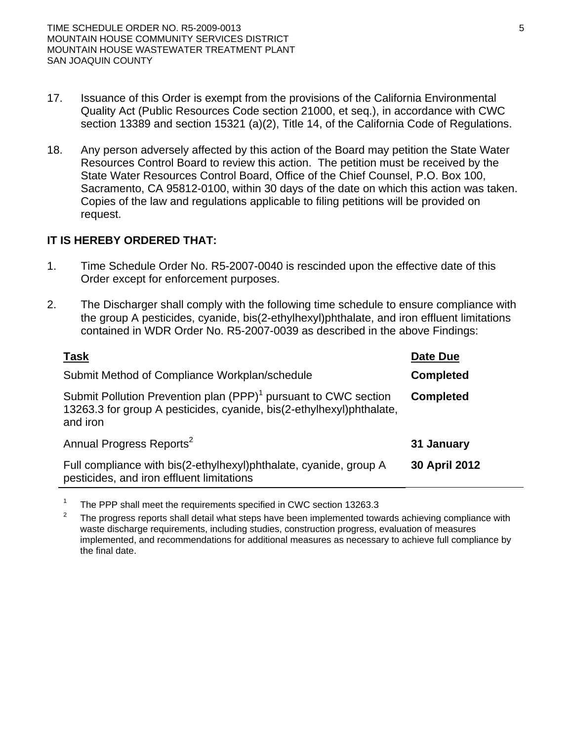- 17. Issuance of this Order is exempt from the provisions of the California Environmental Quality Act (Public Resources Code section 21000, et seq.), in accordance with CWC section 13389 and section 15321 (a)(2), Title 14, of the California Code of Regulations.
- 18. Any person adversely affected by this action of the Board may petition the State Water Resources Control Board to review this action. The petition must be received by the State Water Resources Control Board, Office of the Chief Counsel, P.O. Box 100, Sacramento, CA 95812-0100, within 30 days of the date on which this action was taken. Copies of the law and regulations applicable to filing petitions will be provided on request.

# **IT IS HEREBY ORDERED THAT:**

- 1. Time Schedule Order No. R5-2007-0040 is rescinded upon the effective date of this Order except for enforcement purposes.
- 2. The Discharger shall comply with the following time schedule to ensure compliance with the group A pesticides, cyanide, bis(2-ethylhexyl)phthalate, and iron effluent limitations contained in WDR Order No. R5-2007-0039 as described in the above Findings:

| <b>Task</b>                                                                                                                                                      | Date Due         |
|------------------------------------------------------------------------------------------------------------------------------------------------------------------|------------------|
| Submit Method of Compliance Workplan/schedule                                                                                                                    | <b>Completed</b> |
| Submit Pollution Prevention plan (PPP) <sup>1</sup> pursuant to CWC section<br>13263.3 for group A pesticides, cyanide, bis(2-ethylhexyl) phthalate,<br>and iron | <b>Completed</b> |
| Annual Progress Reports <sup>2</sup>                                                                                                                             | 31 January       |
| Full compliance with bis(2-ethylhexyl)phthalate, cyanide, group A<br>pesticides, and iron effluent limitations                                                   | 30 April 2012    |

<sup>1</sup> The PPP shall meet the requirements specified in CWC section 13263.3

2 The progress reports shall detail what steps have been implemented towards achieving compliance with waste discharge requirements, including studies, construction progress, evaluation of measures implemented, and recommendations for additional measures as necessary to achieve full compliance by the final date.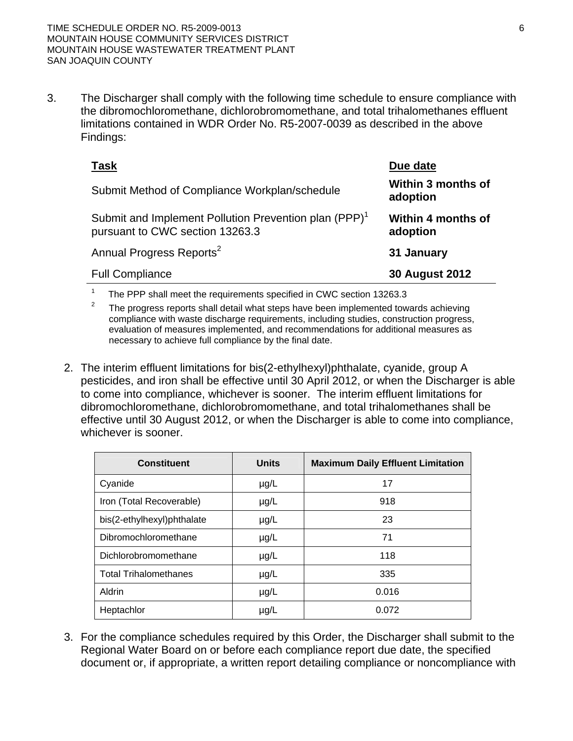3. The Discharger shall comply with the following time schedule to ensure compliance with the dibromochloromethane, dichlorobromomethane, and total trihalomethanes effluent limitations contained in WDR Order No. R5-2007-0039 as described in the above Findings:

| Task                                                                                                 | Due date                       |
|------------------------------------------------------------------------------------------------------|--------------------------------|
| Submit Method of Compliance Workplan/schedule                                                        | Within 3 months of<br>adoption |
| Submit and Implement Pollution Prevention plan (PPP) <sup>1</sup><br>pursuant to CWC section 13263.3 | Within 4 months of<br>adoption |
| Annual Progress Reports <sup>2</sup>                                                                 | 31 January                     |
| <b>Full Compliance</b>                                                                               | <b>30 August 2012</b>          |

1 The PPP shall meet the requirements specified in CWC section 13263.3

2 The progress reports shall detail what steps have been implemented towards achieving compliance with waste discharge requirements, including studies, construction progress, evaluation of measures implemented, and recommendations for additional measures as necessary to achieve full compliance by the final date.

2. The interim effluent limitations for bis(2-ethylhexyl)phthalate, cyanide, group A pesticides, and iron shall be effective until 30 April 2012, or when the Discharger is able to come into compliance, whichever is sooner. The interim effluent limitations for dibromochloromethane, dichlorobromomethane, and total trihalomethanes shall be effective until 30 August 2012, or when the Discharger is able to come into compliance, whichever is sooner.

| <b>Constituent</b>           | <b>Units</b> | <b>Maximum Daily Effluent Limitation</b> |
|------------------------------|--------------|------------------------------------------|
| Cyanide                      | $\mu$ g/L    | 17                                       |
| Iron (Total Recoverable)     | $\mu$ g/L    | 918                                      |
| bis(2-ethylhexyl)phthalate   | $\mu$ g/L    | 23                                       |
| Dibromochloromethane         | $\mu$ g/L    | 71                                       |
| Dichlorobromomethane         | $\mu$ g/L    | 118                                      |
| <b>Total Trihalomethanes</b> | $\mu$ g/L    | 335                                      |
| Aldrin                       | $\mu$ g/L    | 0.016                                    |
| Heptachlor                   | $\mu$ g/L    | 0.072                                    |

3. For the compliance schedules required by this Order, the Discharger shall submit to the Regional Water Board on or before each compliance report due date, the specified document or, if appropriate, a written report detailing compliance or noncompliance with